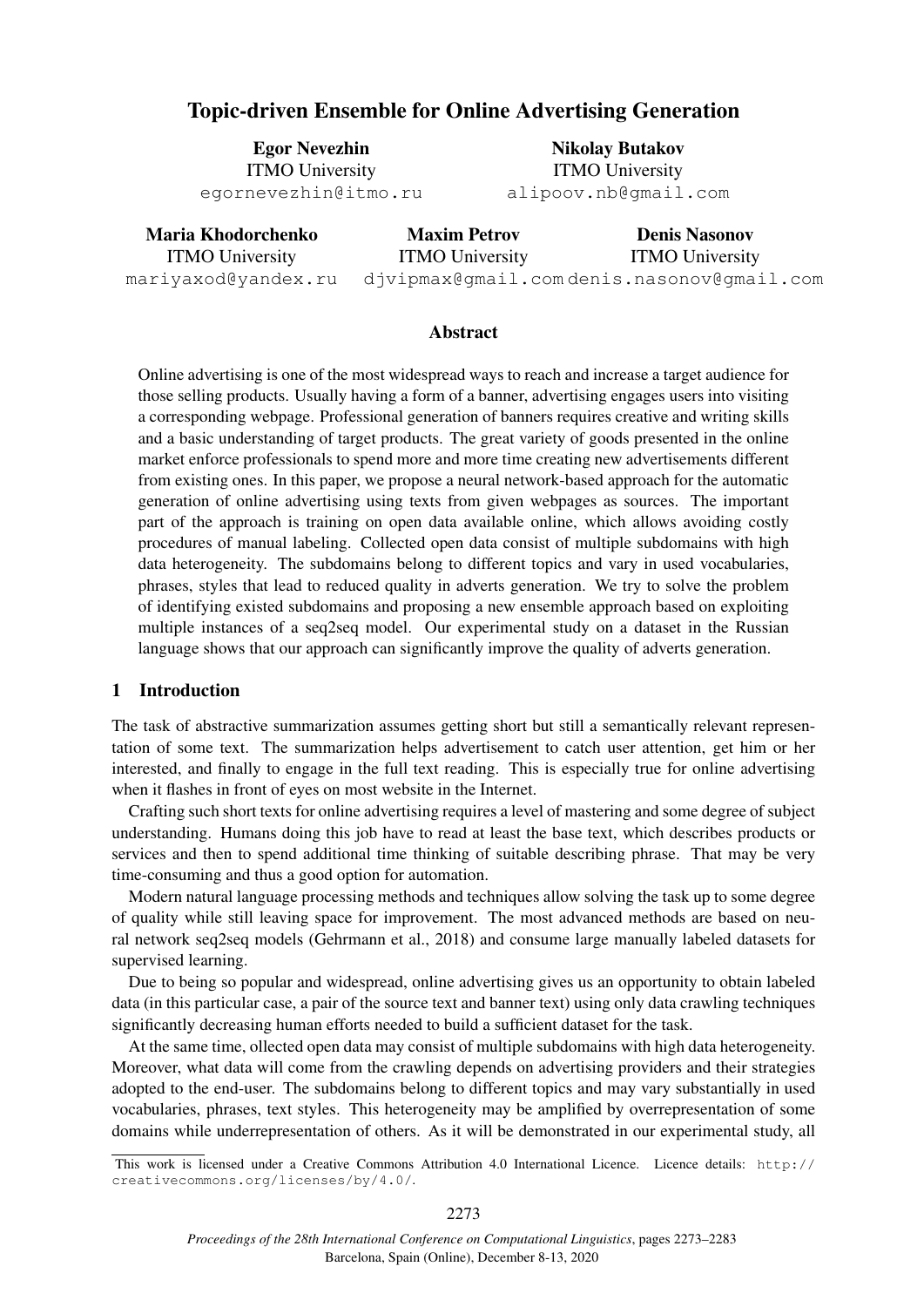# Topic-driven Ensemble for Online Advertising Generation

Egor Nevezhin ITMO University egornevezhin@itmo.ru

Nikolay Butakov ITMO University alipoov.nb@gmail.com

| Maria Khodorchenko     | <b>Maxim Petrov</b>                       | <b>Denis Nasonov</b>   |
|------------------------|-------------------------------------------|------------------------|
| <b>ITMO University</b> | <b>ITMO University</b>                    | <b>ITMO University</b> |
| mariyaxod@yandex.ru    | djvipmax@qmail.comdenis.nasonov@qmail.com |                        |

## Abstract

Online advertising is one of the most widespread ways to reach and increase a target audience for those selling products. Usually having a form of a banner, advertising engages users into visiting a corresponding webpage. Professional generation of banners requires creative and writing skills and a basic understanding of target products. The great variety of goods presented in the online market enforce professionals to spend more and more time creating new advertisements different from existing ones. In this paper, we propose a neural network-based approach for the automatic generation of online advertising using texts from given webpages as sources. The important part of the approach is training on open data available online, which allows avoiding costly procedures of manual labeling. Collected open data consist of multiple subdomains with high data heterogeneity. The subdomains belong to different topics and vary in used vocabularies, phrases, styles that lead to reduced quality in adverts generation. We try to solve the problem of identifying existed subdomains and proposing a new ensemble approach based on exploiting multiple instances of a seq2seq model. Our experimental study on a dataset in the Russian language shows that our approach can significantly improve the quality of adverts generation.

## 1 Introduction

The task of abstractive summarization assumes getting short but still a semantically relevant representation of some text. The summarization helps advertisement to catch user attention, get him or her interested, and finally to engage in the full text reading. This is especially true for online advertising when it flashes in front of eyes on most website in the Internet.

Crafting such short texts for online advertising requires a level of mastering and some degree of subject understanding. Humans doing this job have to read at least the base text, which describes products or services and then to spend additional time thinking of suitable describing phrase. That may be very time-consuming and thus a good option for automation.

Modern natural language processing methods and techniques allow solving the task up to some degree of quality while still leaving space for improvement. The most advanced methods are based on neural network seq2seq models (Gehrmann et al., 2018) and consume large manually labeled datasets for supervised learning.

Due to being so popular and widespread, online advertising gives us an opportunity to obtain labeled data (in this particular case, a pair of the source text and banner text) using only data crawling techniques significantly decreasing human efforts needed to build a sufficient dataset for the task.

At the same time, ollected open data may consist of multiple subdomains with high data heterogeneity. Moreover, what data will come from the crawling depends on advertising providers and their strategies adopted to the end-user. The subdomains belong to different topics and may vary substantially in used vocabularies, phrases, text styles. This heterogeneity may be amplified by overrepresentation of some domains while underrepresentation of others. As it will be demonstrated in our experimental study, all

This work is licensed under a Creative Commons Attribution 4.0 International Licence. Licence details: http:// creativecommons.org/licenses/by/4.0/.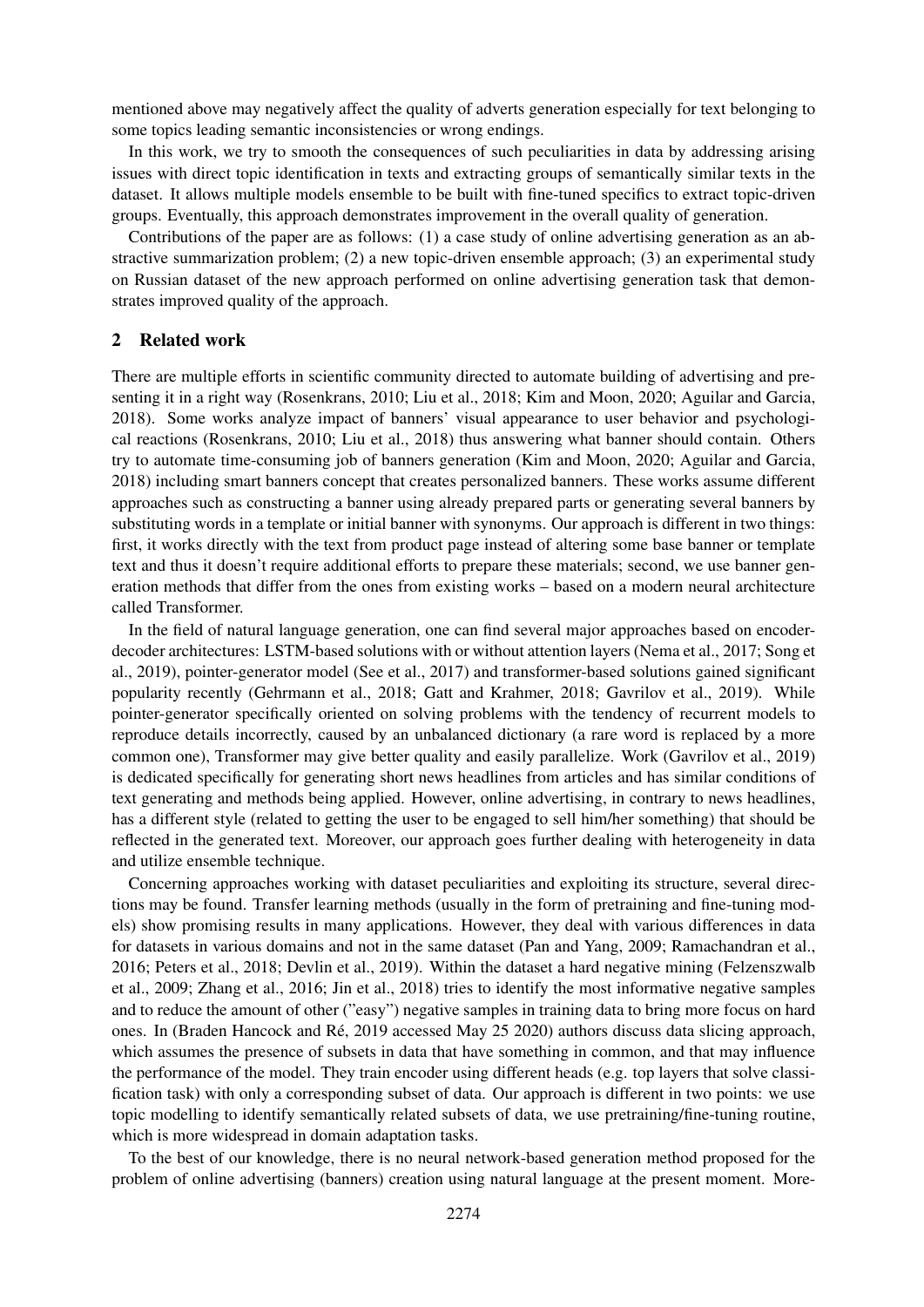mentioned above may negatively affect the quality of adverts generation especially for text belonging to some topics leading semantic inconsistencies or wrong endings.

In this work, we try to smooth the consequences of such peculiarities in data by addressing arising issues with direct topic identification in texts and extracting groups of semantically similar texts in the dataset. It allows multiple models ensemble to be built with fine-tuned specifics to extract topic-driven groups. Eventually, this approach demonstrates improvement in the overall quality of generation.

Contributions of the paper are as follows: (1) a case study of online advertising generation as an abstractive summarization problem; (2) a new topic-driven ensemble approach; (3) an experimental study on Russian dataset of the new approach performed on online advertising generation task that demonstrates improved quality of the approach.

## 2 Related work

There are multiple efforts in scientific community directed to automate building of advertising and presenting it in a right way (Rosenkrans, 2010; Liu et al., 2018; Kim and Moon, 2020; Aguilar and Garcia, 2018). Some works analyze impact of banners' visual appearance to user behavior and psychological reactions (Rosenkrans, 2010; Liu et al., 2018) thus answering what banner should contain. Others try to automate time-consuming job of banners generation (Kim and Moon, 2020; Aguilar and Garcia, 2018) including smart banners concept that creates personalized banners. These works assume different approaches such as constructing a banner using already prepared parts or generating several banners by substituting words in a template or initial banner with synonyms. Our approach is different in two things: first, it works directly with the text from product page instead of altering some base banner or template text and thus it doesn't require additional efforts to prepare these materials; second, we use banner generation methods that differ from the ones from existing works – based on a modern neural architecture called Transformer.

In the field of natural language generation, one can find several major approaches based on encoderdecoder architectures: LSTM-based solutions with or without attention layers (Nema et al., 2017; Song et al., 2019), pointer-generator model (See et al., 2017) and transformer-based solutions gained significant popularity recently (Gehrmann et al., 2018; Gatt and Krahmer, 2018; Gavrilov et al., 2019). While pointer-generator specifically oriented on solving problems with the tendency of recurrent models to reproduce details incorrectly, caused by an unbalanced dictionary (a rare word is replaced by a more common one), Transformer may give better quality and easily parallelize. Work (Gavrilov et al., 2019) is dedicated specifically for generating short news headlines from articles and has similar conditions of text generating and methods being applied. However, online advertising, in contrary to news headlines, has a different style (related to getting the user to be engaged to sell him/her something) that should be reflected in the generated text. Moreover, our approach goes further dealing with heterogeneity in data and utilize ensemble technique.

Concerning approaches working with dataset peculiarities and exploiting its structure, several directions may be found. Transfer learning methods (usually in the form of pretraining and fine-tuning models) show promising results in many applications. However, they deal with various differences in data for datasets in various domains and not in the same dataset (Pan and Yang, 2009; Ramachandran et al., 2016; Peters et al., 2018; Devlin et al., 2019). Within the dataset a hard negative mining (Felzenszwalb et al., 2009; Zhang et al., 2016; Jin et al., 2018) tries to identify the most informative negative samples and to reduce the amount of other ("easy") negative samples in training data to bring more focus on hard ones. In (Braden Hancock and Re, 2019 accessed May 25 2020) authors discuss data slicing approach, ´ which assumes the presence of subsets in data that have something in common, and that may influence the performance of the model. They train encoder using different heads (e.g. top layers that solve classification task) with only a corresponding subset of data. Our approach is different in two points: we use topic modelling to identify semantically related subsets of data, we use pretraining/fine-tuning routine, which is more widespread in domain adaptation tasks.

To the best of our knowledge, there is no neural network-based generation method proposed for the problem of online advertising (banners) creation using natural language at the present moment. More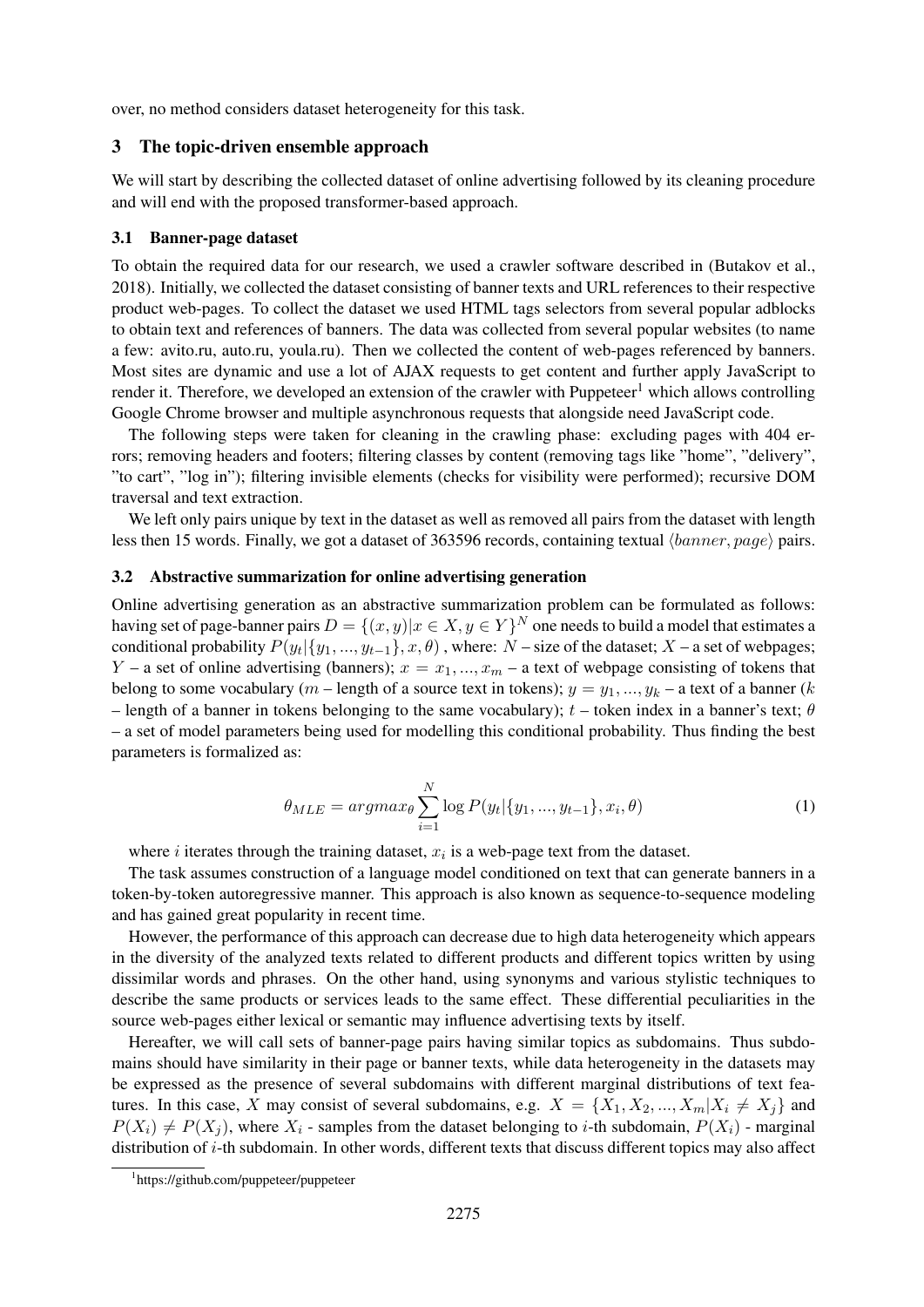over, no method considers dataset heterogeneity for this task.

#### 3 The topic-driven ensemble approach

We will start by describing the collected dataset of online advertising followed by its cleaning procedure and will end with the proposed transformer-based approach.

#### 3.1 Banner-page dataset

To obtain the required data for our research, we used a crawler software described in (Butakov et al., 2018). Initially, we collected the dataset consisting of banner texts and URL references to their respective product web-pages. To collect the dataset we used HTML tags selectors from several popular adblocks to obtain text and references of banners. The data was collected from several popular websites (to name a few: avito.ru, auto.ru, youla.ru). Then we collected the content of web-pages referenced by banners. Most sites are dynamic and use a lot of AJAX requests to get content and further apply JavaScript to render it. Therefore, we developed an extension of the crawler with Puppeteer<sup>1</sup> which allows controlling Google Chrome browser and multiple asynchronous requests that alongside need JavaScript code.

The following steps were taken for cleaning in the crawling phase: excluding pages with 404 errors; removing headers and footers; filtering classes by content (removing tags like "home", "delivery", "to cart", "log in"); filtering invisible elements (checks for visibility were performed); recursive DOM traversal and text extraction.

We left only pairs unique by text in the dataset as well as removed all pairs from the dataset with length less then 15 words. Finally, we got a dataset of 363596 records, containing textual  $\langle banner, page \rangle$  pairs.

#### 3.2 Abstractive summarization for online advertising generation

Online advertising generation as an abstractive summarization problem can be formulated as follows: having set of page-banner pairs  $D = \{(x, y) | x \in X, y \in Y\}^N$  one needs to build a model that estimates a conditional probability  $P(y_t | \{y_1, ..., y_{t-1}\}, x, \theta)$ , where:  $N$  – size of the dataset;  $X$  – a set of webpages; Y – a set of online advertising (banners);  $x = x_1, ..., x_m$  – a text of webpage consisting of tokens that belong to some vocabulary (m – length of a source text in tokens);  $y = y_1, ..., y_k$  – a text of a banner (k – length of a banner in tokens belonging to the same vocabulary);  $t$  – token index in a banner's text;  $\theta$ – a set of model parameters being used for modelling this conditional probability. Thus finding the best parameters is formalized as:

$$
\theta_{MLE} = argmax_{\theta} \sum_{i=1}^{N} \log P(y_t | \{y_1, ..., y_{t-1}\}, x_i, \theta)
$$
\n(1)

where  $i$  iterates through the training dataset,  $x_i$  is a web-page text from the dataset.

The task assumes construction of a language model conditioned on text that can generate banners in a token-by-token autoregressive manner. This approach is also known as sequence-to-sequence modeling and has gained great popularity in recent time.

However, the performance of this approach can decrease due to high data heterogeneity which appears in the diversity of the analyzed texts related to different products and different topics written by using dissimilar words and phrases. On the other hand, using synonyms and various stylistic techniques to describe the same products or services leads to the same effect. These differential peculiarities in the source web-pages either lexical or semantic may influence advertising texts by itself.

Hereafter, we will call sets of banner-page pairs having similar topics as subdomains. Thus subdomains should have similarity in their page or banner texts, while data heterogeneity in the datasets may be expressed as the presence of several subdomains with different marginal distributions of text features. In this case, X may consist of several subdomains, e.g.  $X = \{X_1, X_2, ..., X_m | X_i \neq X_j\}$  and  $P(X_i) \neq P(X_j)$ , where  $X_i$  - samples from the dataset belonging to *i*-th subdomain,  $P(X_i)$  - marginal distribution of i-th subdomain. In other words, different texts that discuss different topics may also affect

<sup>1</sup> https://github.com/puppeteer/puppeteer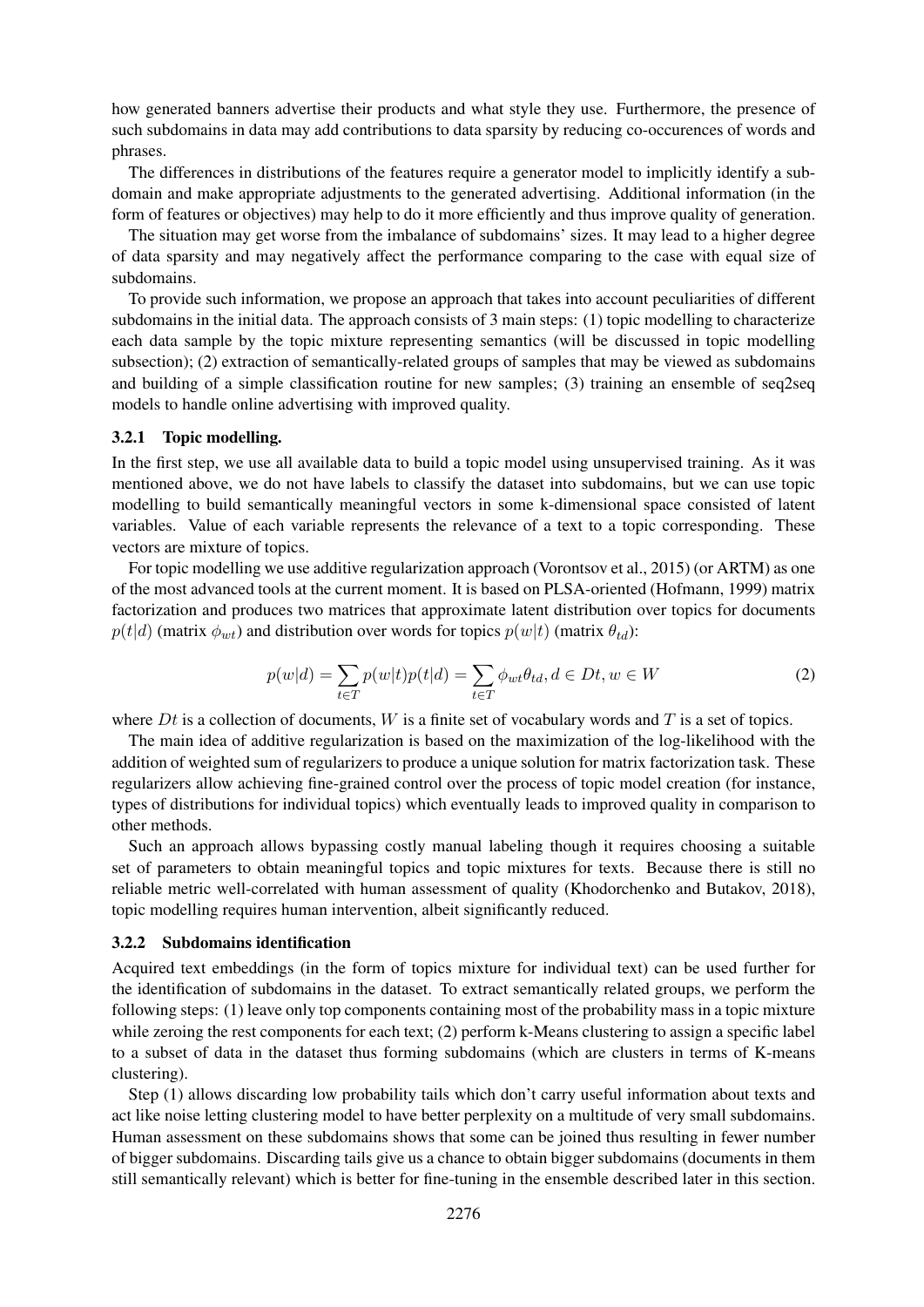how generated banners advertise their products and what style they use. Furthermore, the presence of such subdomains in data may add contributions to data sparsity by reducing co-occurences of words and phrases.

The differences in distributions of the features require a generator model to implicitly identify a subdomain and make appropriate adjustments to the generated advertising. Additional information (in the form of features or objectives) may help to do it more efficiently and thus improve quality of generation.

The situation may get worse from the imbalance of subdomains' sizes. It may lead to a higher degree of data sparsity and may negatively affect the performance comparing to the case with equal size of subdomains.

To provide such information, we propose an approach that takes into account peculiarities of different subdomains in the initial data. The approach consists of 3 main steps: (1) topic modelling to characterize each data sample by the topic mixture representing semantics (will be discussed in topic modelling subsection); (2) extraction of semantically-related groups of samples that may be viewed as subdomains and building of a simple classification routine for new samples; (3) training an ensemble of seq2seq models to handle online advertising with improved quality.

## 3.2.1 Topic modelling.

In the first step, we use all available data to build a topic model using unsupervised training. As it was mentioned above, we do not have labels to classify the dataset into subdomains, but we can use topic modelling to build semantically meaningful vectors in some k-dimensional space consisted of latent variables. Value of each variable represents the relevance of a text to a topic corresponding. These vectors are mixture of topics.

For topic modelling we use additive regularization approach (Vorontsov et al., 2015) (or ARTM) as one of the most advanced tools at the current moment. It is based on PLSA-oriented (Hofmann, 1999) matrix factorization and produces two matrices that approximate latent distribution over topics for documents  $p(t|d)$  (matrix  $\phi_{wt}$ ) and distribution over words for topics  $p(w|t)$  (matrix  $\theta_{td}$ ):

$$
p(w|d) = \sum_{t \in T} p(w|t)p(t|d) = \sum_{t \in T} \phi_{wt}\theta_{td}, d \in Dt, w \in W
$$
\n(2)

where  $Dt$  is a collection of documents,  $W$  is a finite set of vocabulary words and  $T$  is a set of topics.

The main idea of additive regularization is based on the maximization of the log-likelihood with the addition of weighted sum of regularizers to produce a unique solution for matrix factorization task. These regularizers allow achieving fine-grained control over the process of topic model creation (for instance, types of distributions for individual topics) which eventually leads to improved quality in comparison to other methods.

Such an approach allows bypassing costly manual labeling though it requires choosing a suitable set of parameters to obtain meaningful topics and topic mixtures for texts. Because there is still no reliable metric well-correlated with human assessment of quality (Khodorchenko and Butakov, 2018), topic modelling requires human intervention, albeit significantly reduced.

#### 3.2.2 Subdomains identification

Acquired text embeddings (in the form of topics mixture for individual text) can be used further for the identification of subdomains in the dataset. To extract semantically related groups, we perform the following steps: (1) leave only top components containing most of the probability mass in a topic mixture while zeroing the rest components for each text; (2) perform k-Means clustering to assign a specific label to a subset of data in the dataset thus forming subdomains (which are clusters in terms of K-means clustering).

Step (1) allows discarding low probability tails which don't carry useful information about texts and act like noise letting clustering model to have better perplexity on a multitude of very small subdomains. Human assessment on these subdomains shows that some can be joined thus resulting in fewer number of bigger subdomains. Discarding tails give us a chance to obtain bigger subdomains (documents in them still semantically relevant) which is better for fine-tuning in the ensemble described later in this section.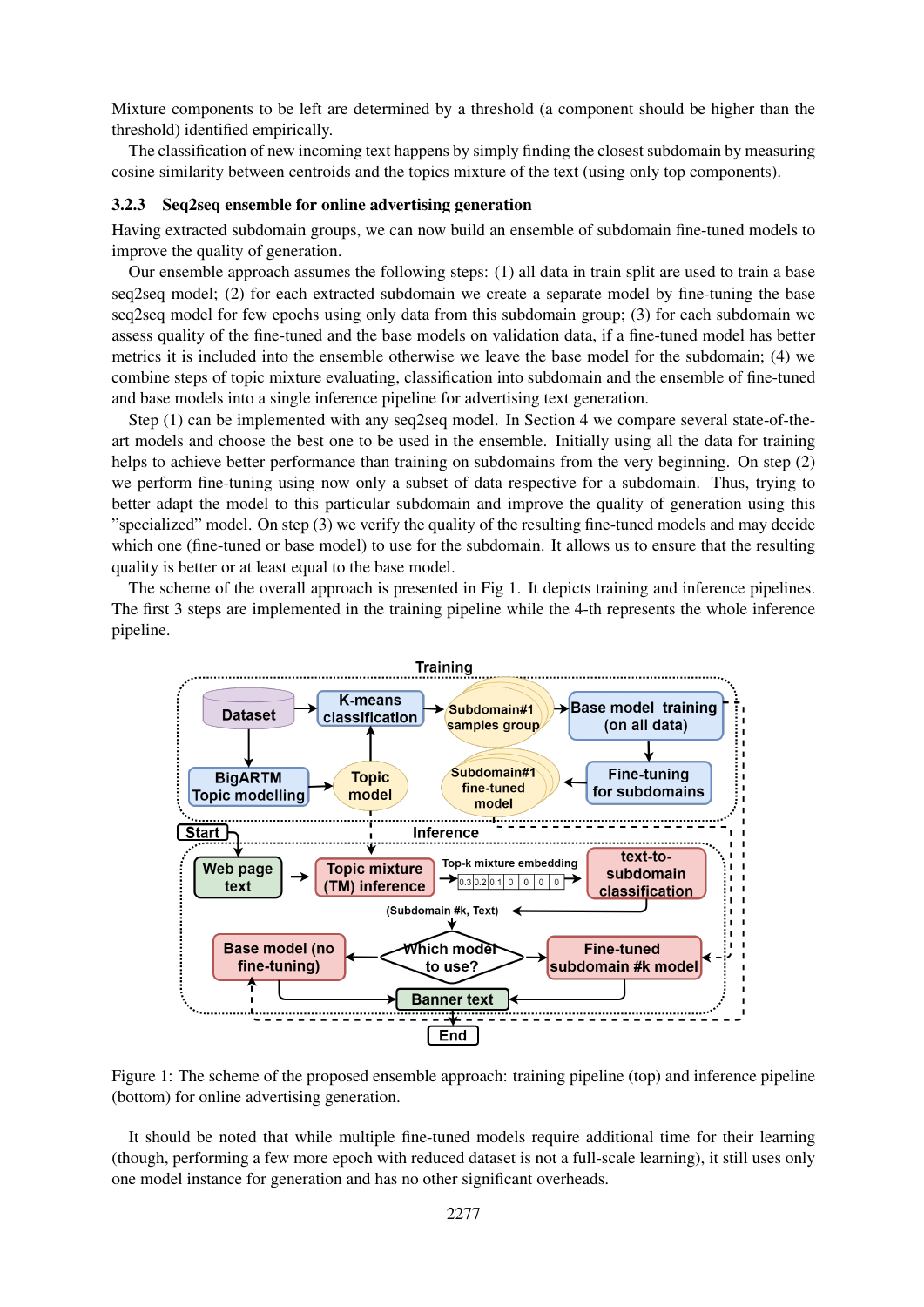Mixture components to be left are determined by a threshold (a component should be higher than the threshold) identified empirically.

The classification of new incoming text happens by simply finding the closest subdomain by measuring cosine similarity between centroids and the topics mixture of the text (using only top components).

#### 3.2.3 Seq2seq ensemble for online advertising generation

Having extracted subdomain groups, we can now build an ensemble of subdomain fine-tuned models to improve the quality of generation.

Our ensemble approach assumes the following steps: (1) all data in train split are used to train a base seq2seq model; (2) for each extracted subdomain we create a separate model by fine-tuning the base seq2seq model for few epochs using only data from this subdomain group; (3) for each subdomain we assess quality of the fine-tuned and the base models on validation data, if a fine-tuned model has better metrics it is included into the ensemble otherwise we leave the base model for the subdomain; (4) we combine steps of topic mixture evaluating, classification into subdomain and the ensemble of fine-tuned and base models into a single inference pipeline for advertising text generation.

Step (1) can be implemented with any seq2seq model. In Section 4 we compare several state-of-theart models and choose the best one to be used in the ensemble. Initially using all the data for training helps to achieve better performance than training on subdomains from the very beginning. On step (2) we perform fine-tuning using now only a subset of data respective for a subdomain. Thus, trying to better adapt the model to this particular subdomain and improve the quality of generation using this "specialized" model. On step (3) we verify the quality of the resulting fine-tuned models and may decide which one (fine-tuned or base model) to use for the subdomain. It allows us to ensure that the resulting quality is better or at least equal to the base model.

The scheme of the overall approach is presented in Fig 1. It depicts training and inference pipelines. The first 3 steps are implemented in the training pipeline while the 4-th represents the whole inference pipeline.



Figure 1: The scheme of the proposed ensemble approach: training pipeline (top) and inference pipeline (bottom) for online advertising generation.

It should be noted that while multiple fine-tuned models require additional time for their learning (though, performing a few more epoch with reduced dataset is not a full-scale learning), it still uses only one model instance for generation and has no other significant overheads.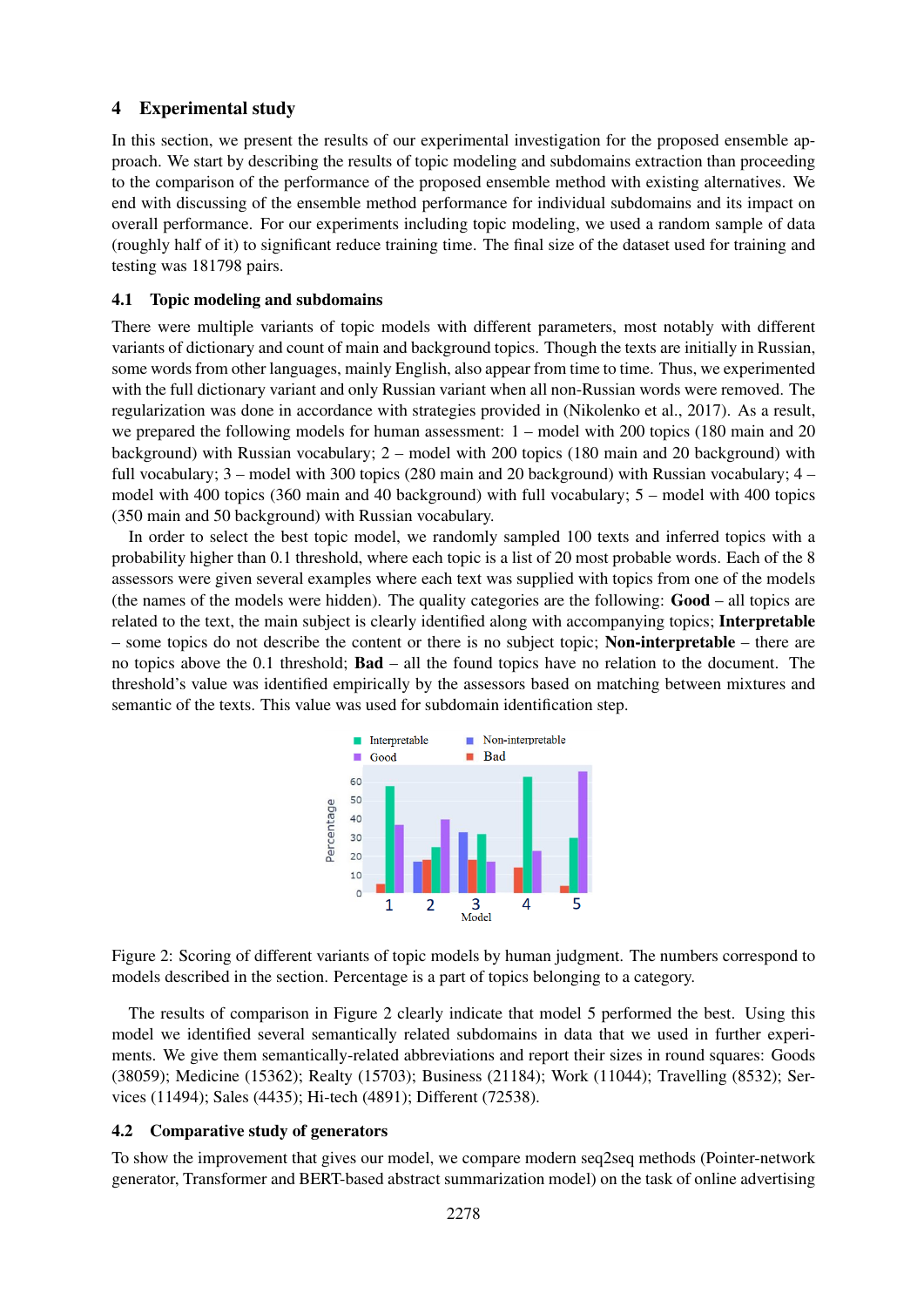# 4 Experimental study

In this section, we present the results of our experimental investigation for the proposed ensemble approach. We start by describing the results of topic modeling and subdomains extraction than proceeding to the comparison of the performance of the proposed ensemble method with existing alternatives. We end with discussing of the ensemble method performance for individual subdomains and its impact on overall performance. For our experiments including topic modeling, we used a random sample of data (roughly half of it) to significant reduce training time. The final size of the dataset used for training and testing was 181798 pairs.

## 4.1 Topic modeling and subdomains

There were multiple variants of topic models with different parameters, most notably with different variants of dictionary and count of main and background topics. Though the texts are initially in Russian, some words from other languages, mainly English, also appear from time to time. Thus, we experimented with the full dictionary variant and only Russian variant when all non-Russian words were removed. The regularization was done in accordance with strategies provided in (Nikolenko et al., 2017). As a result, we prepared the following models for human assessment: 1 – model with 200 topics (180 main and 20 background) with Russian vocabulary; 2 – model with 200 topics (180 main and 20 background) with full vocabulary; 3 – model with 300 topics (280 main and 20 background) with Russian vocabulary; 4 – model with 400 topics (360 main and 40 background) with full vocabulary; 5 – model with 400 topics (350 main and 50 background) with Russian vocabulary.

In order to select the best topic model, we randomly sampled 100 texts and inferred topics with a probability higher than 0.1 threshold, where each topic is a list of 20 most probable words. Each of the 8 assessors were given several examples where each text was supplied with topics from one of the models (the names of the models were hidden). The quality categories are the following: Good – all topics are related to the text, the main subject is clearly identified along with accompanying topics; Interpretable  $-$  some topics do not describe the content or there is no subject topic; **Non-interpretable** – there are no topics above the 0.1 threshold; Bad – all the found topics have no relation to the document. The threshold's value was identified empirically by the assessors based on matching between mixtures and semantic of the texts. This value was used for subdomain identification step.



Figure 2: Scoring of different variants of topic models by human judgment. The numbers correspond to models described in the section. Percentage is a part of topics belonging to a category.

The results of comparison in Figure 2 clearly indicate that model 5 performed the best. Using this model we identified several semantically related subdomains in data that we used in further experiments. We give them semantically-related abbreviations and report their sizes in round squares: Goods (38059); Medicine (15362); Realty (15703); Business (21184); Work (11044); Travelling (8532); Services (11494); Sales (4435); Hi-tech (4891); Different (72538).

# 4.2 Comparative study of generators

To show the improvement that gives our model, we compare modern seq2seq methods (Pointer-network generator, Transformer and BERT-based abstract summarization model) on the task of online advertising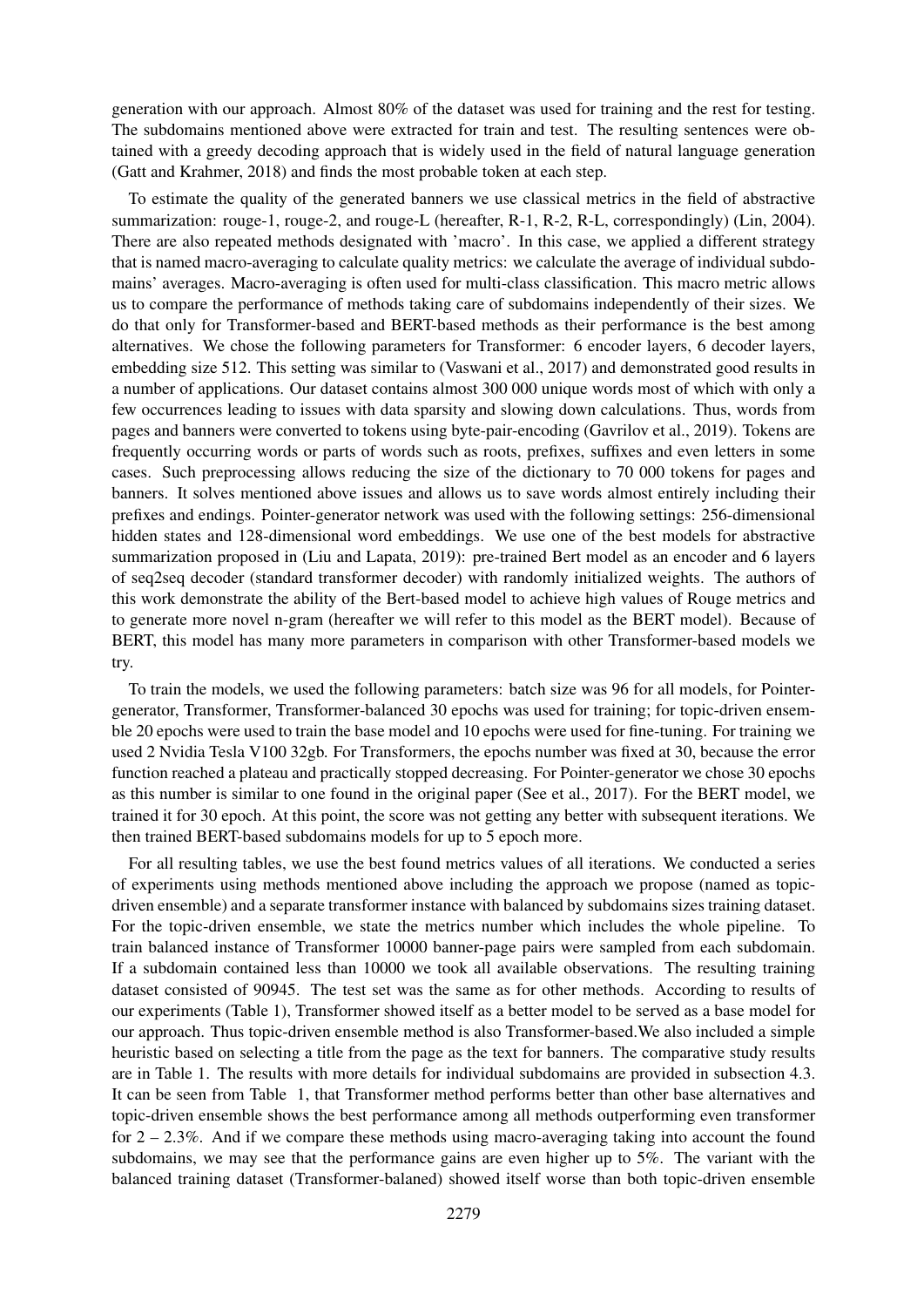generation with our approach. Almost 80% of the dataset was used for training and the rest for testing. The subdomains mentioned above were extracted for train and test. The resulting sentences were obtained with a greedy decoding approach that is widely used in the field of natural language generation (Gatt and Krahmer, 2018) and finds the most probable token at each step.

To estimate the quality of the generated banners we use classical metrics in the field of abstractive summarization: rouge-1, rouge-2, and rouge-L (hereafter, R-1, R-2, R-L, correspondingly) (Lin, 2004). There are also repeated methods designated with 'macro'. In this case, we applied a different strategy that is named macro-averaging to calculate quality metrics: we calculate the average of individual subdomains' averages. Macro-averaging is often used for multi-class classification. This macro metric allows us to compare the performance of methods taking care of subdomains independently of their sizes. We do that only for Transformer-based and BERT-based methods as their performance is the best among alternatives. We chose the following parameters for Transformer: 6 encoder layers, 6 decoder layers, embedding size 512. This setting was similar to (Vaswani et al., 2017) and demonstrated good results in a number of applications. Our dataset contains almost 300 000 unique words most of which with only a few occurrences leading to issues with data sparsity and slowing down calculations. Thus, words from pages and banners were converted to tokens using byte-pair-encoding (Gavrilov et al., 2019). Tokens are frequently occurring words or parts of words such as roots, prefixes, suffixes and even letters in some cases. Such preprocessing allows reducing the size of the dictionary to 70 000 tokens for pages and banners. It solves mentioned above issues and allows us to save words almost entirely including their prefixes and endings. Pointer-generator network was used with the following settings: 256-dimensional hidden states and 128-dimensional word embeddings. We use one of the best models for abstractive summarization proposed in (Liu and Lapata, 2019): pre-trained Bert model as an encoder and 6 layers of seq2seq decoder (standard transformer decoder) with randomly initialized weights. The authors of this work demonstrate the ability of the Bert-based model to achieve high values of Rouge metrics and to generate more novel n-gram (hereafter we will refer to this model as the BERT model). Because of BERT, this model has many more parameters in comparison with other Transformer-based models we try.

To train the models, we used the following parameters: batch size was 96 for all models, for Pointergenerator, Transformer, Transformer-balanced 30 epochs was used for training; for topic-driven ensemble 20 epochs were used to train the base model and 10 epochs were used for fine-tuning. For training we used 2 Nvidia Tesla V100 32gb. For Transformers, the epochs number was fixed at 30, because the error function reached a plateau and practically stopped decreasing. For Pointer-generator we chose 30 epochs as this number is similar to one found in the original paper (See et al., 2017). For the BERT model, we trained it for 30 epoch. At this point, the score was not getting any better with subsequent iterations. We then trained BERT-based subdomains models for up to 5 epoch more.

For all resulting tables, we use the best found metrics values of all iterations. We conducted a series of experiments using methods mentioned above including the approach we propose (named as topicdriven ensemble) and a separate transformer instance with balanced by subdomains sizes training dataset. For the topic-driven ensemble, we state the metrics number which includes the whole pipeline. To train balanced instance of Transformer 10000 banner-page pairs were sampled from each subdomain. If a subdomain contained less than 10000 we took all available observations. The resulting training dataset consisted of 90945. The test set was the same as for other methods. According to results of our experiments (Table 1), Transformer showed itself as a better model to be served as a base model for our approach. Thus topic-driven ensemble method is also Transformer-based.We also included a simple heuristic based on selecting a title from the page as the text for banners. The comparative study results are in Table 1. The results with more details for individual subdomains are provided in subsection 4.3. It can be seen from Table 1, that Transformer method performs better than other base alternatives and topic-driven ensemble shows the best performance among all methods outperforming even transformer for 2 – 2.3%. And if we compare these methods using macro-averaging taking into account the found subdomains, we may see that the performance gains are even higher up to 5%. The variant with the balanced training dataset (Transformer-balaned) showed itself worse than both topic-driven ensemble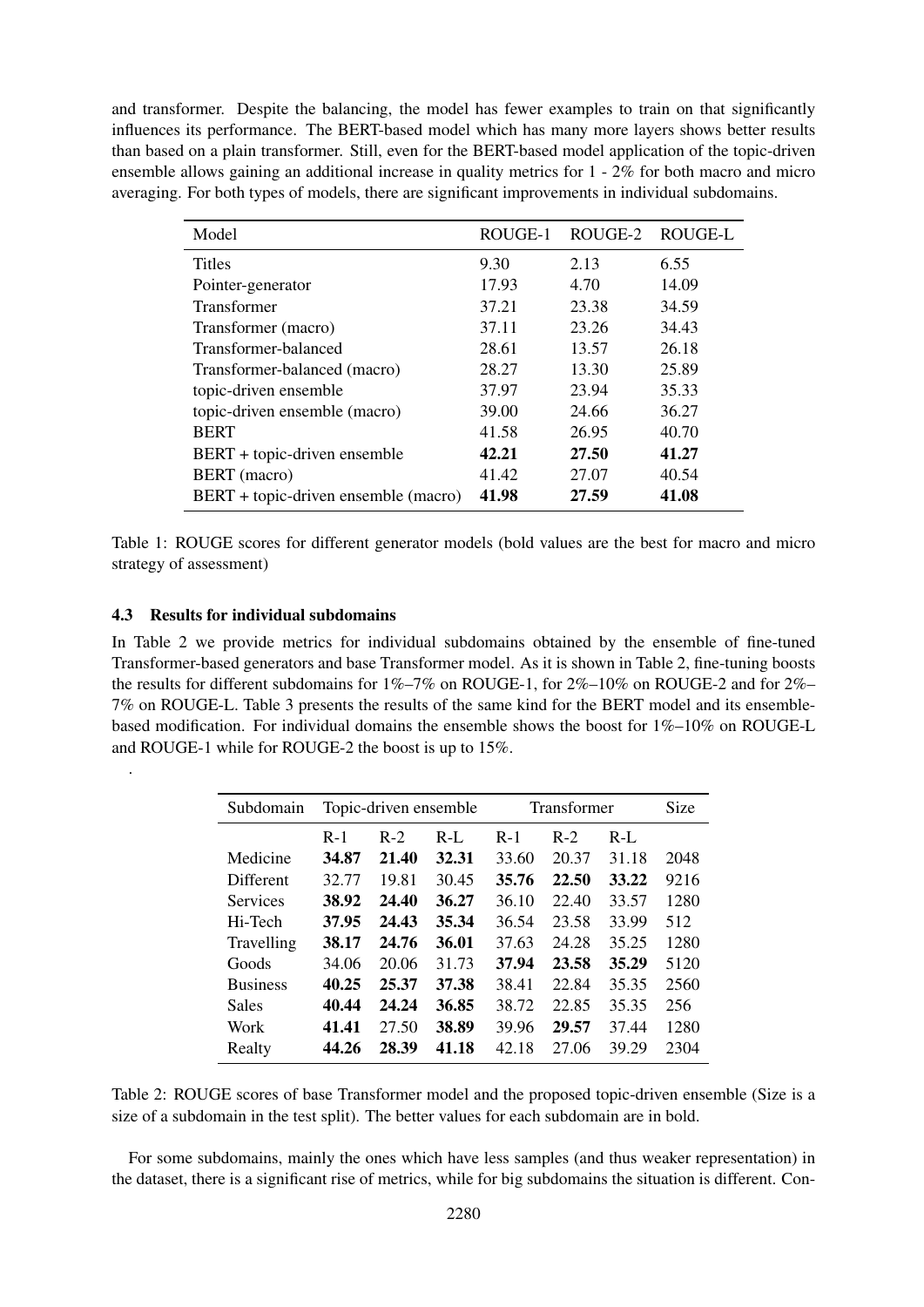and transformer. Despite the balancing, the model has fewer examples to train on that significantly influences its performance. The BERT-based model which has many more layers shows better results than based on a plain transformer. Still, even for the BERT-based model application of the topic-driven ensemble allows gaining an additional increase in quality metrics for 1 - 2% for both macro and micro averaging. For both types of models, there are significant improvements in individual subdomains.

| Model                                | ROUGE-1 | ROUGE-2 | ROUGE-L |
|--------------------------------------|---------|---------|---------|
| <b>Titles</b>                        | 9.30    | 2.13    | 6.55    |
| Pointer-generator                    | 17.93   | 4.70    | 14.09   |
| Transformer                          | 37.21   | 23.38   | 34.59   |
| Transformer (macro)                  | 37.11   | 23.26   | 34.43   |
| Transformer-balanced                 | 28.61   | 13.57   | 26.18   |
| Transformer-balanced (macro)         | 28.27   | 13.30   | 25.89   |
| topic-driven ensemble                | 37.97   | 23.94   | 35.33   |
| topic-driven ensemble (macro)        | 39.00   | 24.66   | 36.27   |
| <b>BERT</b>                          | 41.58   | 26.95   | 40.70   |
| BERT + topic-driven ensemble         | 42.21   | 27.50   | 41.27   |
| BERT (macro)                         | 41.42   | 27.07   | 40.54   |
| BERT + topic-driven ensemble (macro) | 41.98   | 27.59   | 41.08   |

Table 1: ROUGE scores for different generator models (bold values are the best for macro and micro strategy of assessment)

## 4.3 Results for individual subdomains

.

In Table 2 we provide metrics for individual subdomains obtained by the ensemble of fine-tuned Transformer-based generators and base Transformer model. As it is shown in Table 2, fine-tuning boosts the results for different subdomains for 1%–7% on ROUGE-1, for 2%–10% on ROUGE-2 and for 2%– 7% on ROUGE-L. Table 3 presents the results of the same kind for the BERT model and its ensemblebased modification. For individual domains the ensemble shows the boost for 1%–10% on ROUGE-L and ROUGE-1 while for ROUGE-2 the boost is up to 15%.

| Subdomain       | Topic-driven ensemble |       |       | Transformer | Size  |       |      |
|-----------------|-----------------------|-------|-------|-------------|-------|-------|------|
|                 | $R-1$                 | $R-2$ | $R-L$ | $R-1$       | $R-2$ | $R-L$ |      |
| Medicine        | 34.87                 | 21.40 | 32.31 | 33.60       | 20.37 | 31.18 | 2048 |
| Different       | 32.77                 | 19.81 | 30.45 | 35.76       | 22.50 | 33.22 | 9216 |
| <b>Services</b> | 38.92                 | 24.40 | 36.27 | 36.10       | 22.40 | 33.57 | 1280 |
| Hi-Tech         | 37.95                 | 24.43 | 35.34 | 36.54       | 23.58 | 33.99 | 512  |
| Travelling      | 38.17                 | 24.76 | 36.01 | 37.63       | 24.28 | 35.25 | 1280 |
| Goods           | 34.06                 | 20.06 | 31.73 | 37.94       | 23.58 | 35.29 | 5120 |
| <b>Business</b> | 40.25                 | 25.37 | 37.38 | 38.41       | 22.84 | 35.35 | 2560 |
| <b>Sales</b>    | 40.44                 | 24.24 | 36.85 | 38.72       | 22.85 | 35.35 | 256  |
| Work            | 41.41                 | 27.50 | 38.89 | 39.96       | 29.57 | 37.44 | 1280 |
| Realty          | 44.26                 | 28.39 | 41.18 | 42.18       | 27.06 | 39.29 | 2304 |

Table 2: ROUGE scores of base Transformer model and the proposed topic-driven ensemble (Size is a size of a subdomain in the test split). The better values for each subdomain are in bold.

For some subdomains, mainly the ones which have less samples (and thus weaker representation) in the dataset, there is a significant rise of metrics, while for big subdomains the situation is different. Con-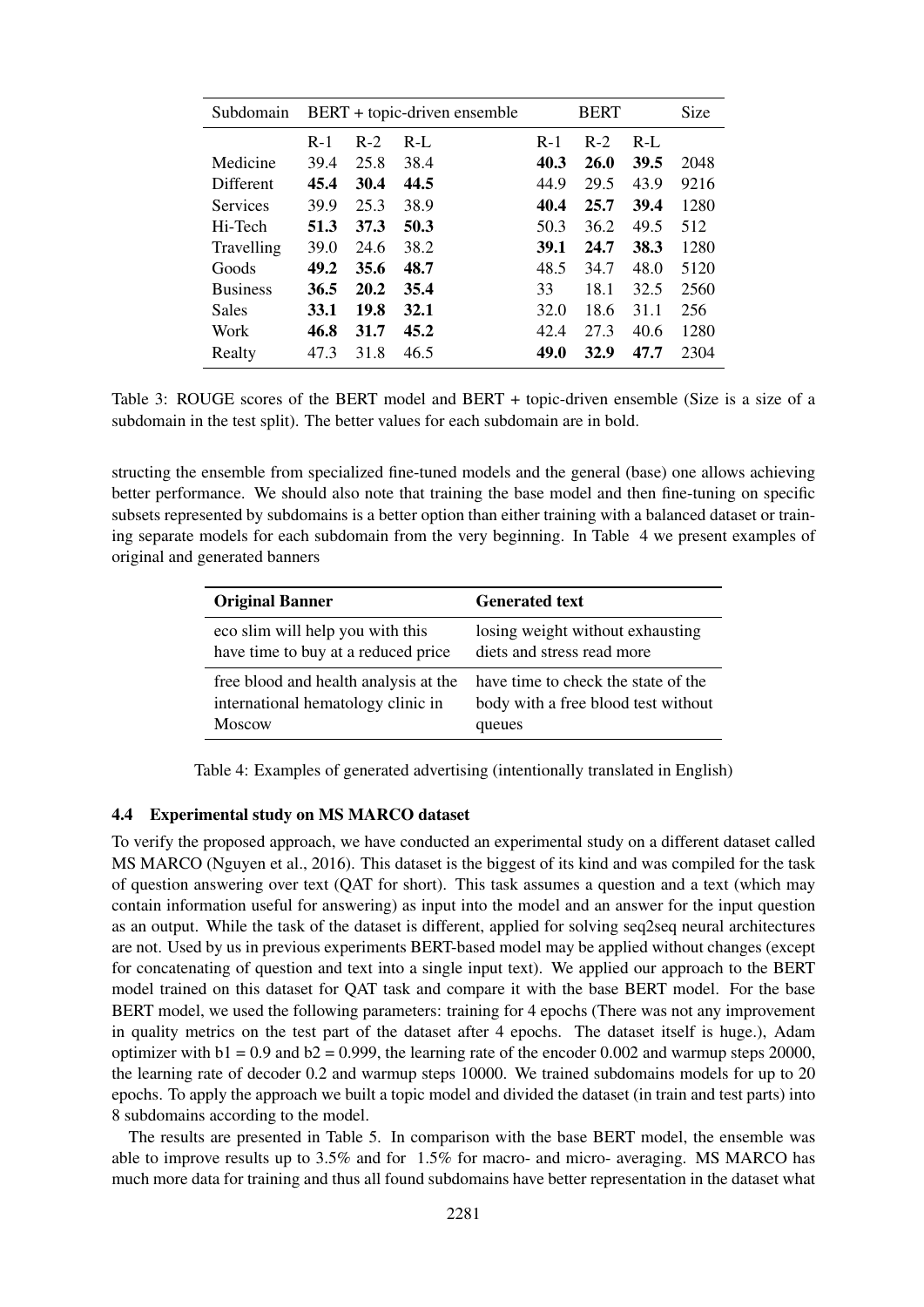| Subdomain       | BERT + topic-driven ensemble |       |         | <b>BERT</b> |             |       | Size |
|-----------------|------------------------------|-------|---------|-------------|-------------|-------|------|
|                 | $R-1$                        | $R-2$ | $R-I$ . | $R-1$       | $R-2$       | $R-L$ |      |
| Medicine        | 39.4                         | 25.8  | 38.4    | 40.3        | <b>26.0</b> | 39.5  | 2048 |
| Different       | 45.4                         | 30.4  | 44.5    | 44.9        | 29.5        | 43.9  | 9216 |
| <b>Services</b> | 39.9                         | 25.3  | 38.9    | 40.4        | 25.7        | 39.4  | 1280 |
| Hi-Tech         | 51.3                         | 37.3  | 50.3    | 50.3        | 36.2        | 49.5  | 512  |
| Travelling      | 39.0                         | 24.6  | 38.2    | 39.1        | 24.7        | 38.3  | 1280 |
| Goods           | 49.2                         | 35.6  | 48.7    | 48.5        | 34.7        | 48.0  | 5120 |
| <b>Business</b> | 36.5                         | 20.2  | 35.4    | 33          | 18.1        | 32.5  | 2560 |
| <b>Sales</b>    | 33.1                         | 19.8  | 32.1    | 32.0        | 18.6        | 31.1  | 256  |
| Work            | 46.8                         | 31.7  | 45.2    | 42.4        | 27.3        | 40.6  | 1280 |
| Realty          | 47.3                         | 31.8  | 46.5    | 49.0        | 32.9        | 47.7  | 2304 |

Table 3: ROUGE scores of the BERT model and BERT + topic-driven ensemble (Size is a size of a subdomain in the test split). The better values for each subdomain are in bold.

structing the ensemble from specialized fine-tuned models and the general (base) one allows achieving better performance. We should also note that training the base model and then fine-tuning on specific subsets represented by subdomains is a better option than either training with a balanced dataset or training separate models for each subdomain from the very beginning. In Table 4 we present examples of original and generated banners

| <b>Original Banner</b>                | <b>Generated text</b>               |
|---------------------------------------|-------------------------------------|
| eco slim will help you with this      | losing weight without exhausting    |
| have time to buy at a reduced price   | diets and stress read more          |
| free blood and health analysis at the | have time to check the state of the |
| international hematology clinic in    | body with a free blood test without |
| Moscow                                | queues                              |

Table 4: Examples of generated advertising (intentionally translated in English)

#### 4.4 Experimental study on MS MARCO dataset

To verify the proposed approach, we have conducted an experimental study on a different dataset called MS MARCO (Nguyen et al., 2016). This dataset is the biggest of its kind and was compiled for the task of question answering over text (QAT for short). This task assumes a question and a text (which may contain information useful for answering) as input into the model and an answer for the input question as an output. While the task of the dataset is different, applied for solving seq2seq neural architectures are not. Used by us in previous experiments BERT-based model may be applied without changes (except for concatenating of question and text into a single input text). We applied our approach to the BERT model trained on this dataset for QAT task and compare it with the base BERT model. For the base BERT model, we used the following parameters: training for 4 epochs (There was not any improvement in quality metrics on the test part of the dataset after 4 epochs. The dataset itself is huge.), Adam optimizer with  $b1 = 0.9$  and  $b2 = 0.999$ , the learning rate of the encoder 0.002 and warmup steps 20000, the learning rate of decoder 0.2 and warmup steps 10000. We trained subdomains models for up to 20 epochs. To apply the approach we built a topic model and divided the dataset (in train and test parts) into 8 subdomains according to the model.

The results are presented in Table 5. In comparison with the base BERT model, the ensemble was able to improve results up to 3.5% and for 1.5% for macro- and micro- averaging. MS MARCO has much more data for training and thus all found subdomains have better representation in the dataset what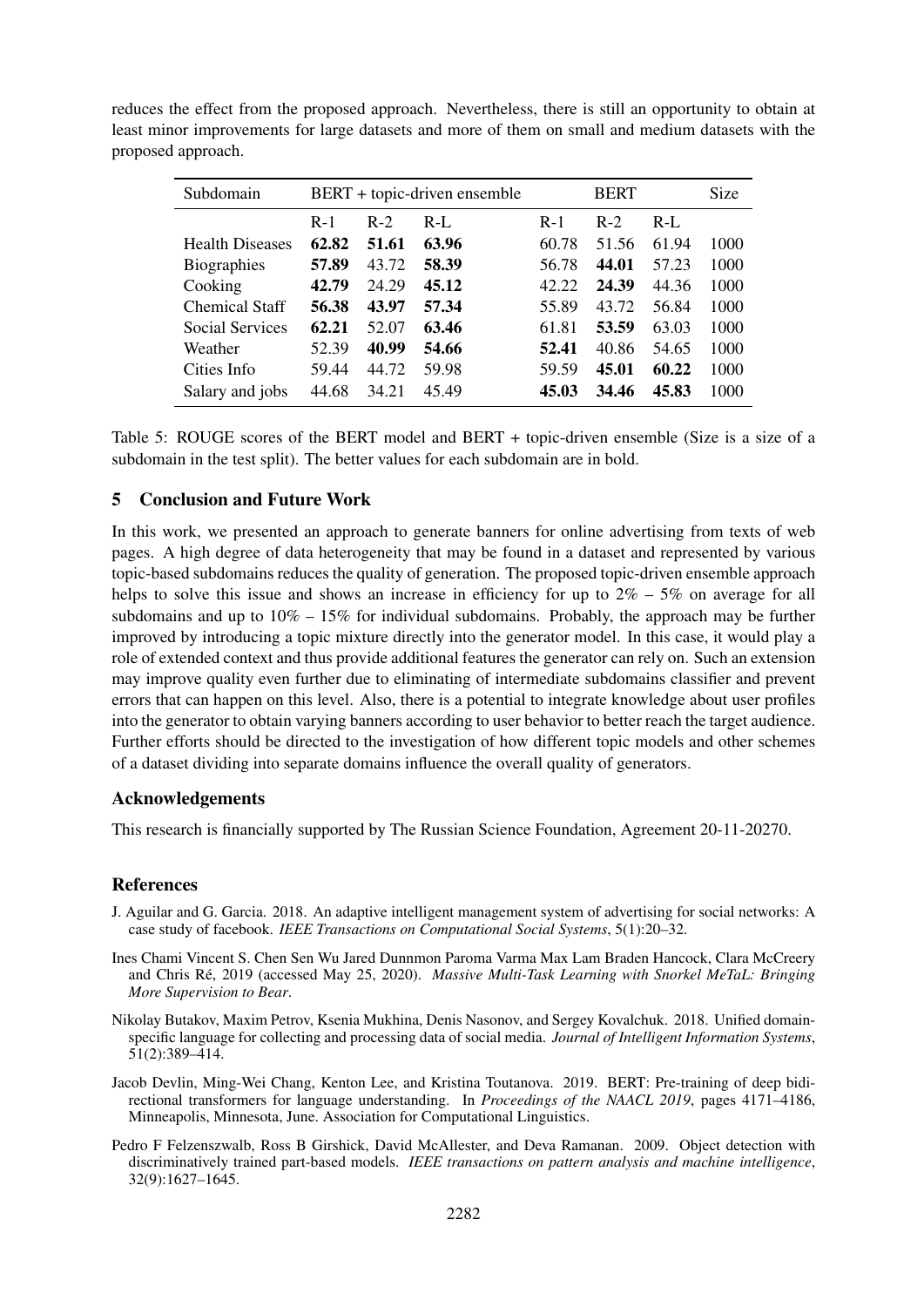reduces the effect from the proposed approach. Nevertheless, there is still an opportunity to obtain at least minor improvements for large datasets and more of them on small and medium datasets with the proposed approach.

| Subdomain              | BERT + topic-driven ensemble |       |         | <b>BERT</b> |       |       | <b>Size</b> |
|------------------------|------------------------------|-------|---------|-------------|-------|-------|-------------|
|                        | $R-1$                        | $R-2$ | $R-I$ . | $R-1$       | $R-2$ | $R-L$ |             |
| <b>Health Diseases</b> | 62.82                        | 51.61 | 63.96   | 60.78       | 51.56 | 61.94 | 1000        |
| Biographies            | 57.89                        | 43.72 | 58.39   | 56.78       | 44.01 | 57.23 | 1000        |
| Cooking                | 42.79                        | 24.29 | 45.12   | 42.22       | 24.39 | 44.36 | 1000        |
| <b>Chemical Staff</b>  | 56.38                        | 43.97 | 57.34   | 55.89       | 43.72 | 56.84 | 1000        |
| Social Services        | 62.21                        | 52.07 | 63.46   | 61.81       | 53.59 | 63.03 | 1000        |
| Weather                | 52.39                        | 40.99 | 54.66   | 52.41       | 40.86 | 54.65 | 1000        |
| Cities Info            | 59.44                        | 44.72 | 59.98   | 59.59       | 45.01 | 60.22 | 1000        |
| Salary and jobs        | 44.68                        | 34.21 | 45.49   | 45.03       | 34.46 | 45.83 | 1000        |

Table 5: ROUGE scores of the BERT model and BERT + topic-driven ensemble (Size is a size of a subdomain in the test split). The better values for each subdomain are in bold.

# 5 Conclusion and Future Work

In this work, we presented an approach to generate banners for online advertising from texts of web pages. A high degree of data heterogeneity that may be found in a dataset and represented by various topic-based subdomains reduces the quality of generation. The proposed topic-driven ensemble approach helps to solve this issue and shows an increase in efficiency for up to  $2\% - 5\%$  on average for all subdomains and up to  $10\% - 15\%$  for individual subdomains. Probably, the approach may be further improved by introducing a topic mixture directly into the generator model. In this case, it would play a role of extended context and thus provide additional features the generator can rely on. Such an extension may improve quality even further due to eliminating of intermediate subdomains classifier and prevent errors that can happen on this level. Also, there is a potential to integrate knowledge about user profiles into the generator to obtain varying banners according to user behavior to better reach the target audience. Further efforts should be directed to the investigation of how different topic models and other schemes of a dataset dividing into separate domains influence the overall quality of generators.

## Acknowledgements

This research is financially supported by The Russian Science Foundation, Agreement 20-11-20270.

#### **References**

- J. Aguilar and G. Garcia. 2018. An adaptive intelligent management system of advertising for social networks: A case study of facebook. *IEEE Transactions on Computational Social Systems*, 5(1):20–32.
- Ines Chami Vincent S. Chen Sen Wu Jared Dunnmon Paroma Varma Max Lam Braden Hancock, Clara McCreery and Chris Ré, 2019 (accessed May 25, 2020). Massive Multi-Task Learning with Snorkel MeTaL: Bringing *More Supervision to Bear*.
- Nikolay Butakov, Maxim Petrov, Ksenia Mukhina, Denis Nasonov, and Sergey Kovalchuk. 2018. Unified domainspecific language for collecting and processing data of social media. *Journal of Intelligent Information Systems*, 51(2):389–414.
- Jacob Devlin, Ming-Wei Chang, Kenton Lee, and Kristina Toutanova. 2019. BERT: Pre-training of deep bidirectional transformers for language understanding. In *Proceedings of the NAACL 2019*, pages 4171–4186, Minneapolis, Minnesota, June. Association for Computational Linguistics.
- Pedro F Felzenszwalb, Ross B Girshick, David McAllester, and Deva Ramanan. 2009. Object detection with discriminatively trained part-based models. *IEEE transactions on pattern analysis and machine intelligence*, 32(9):1627–1645.